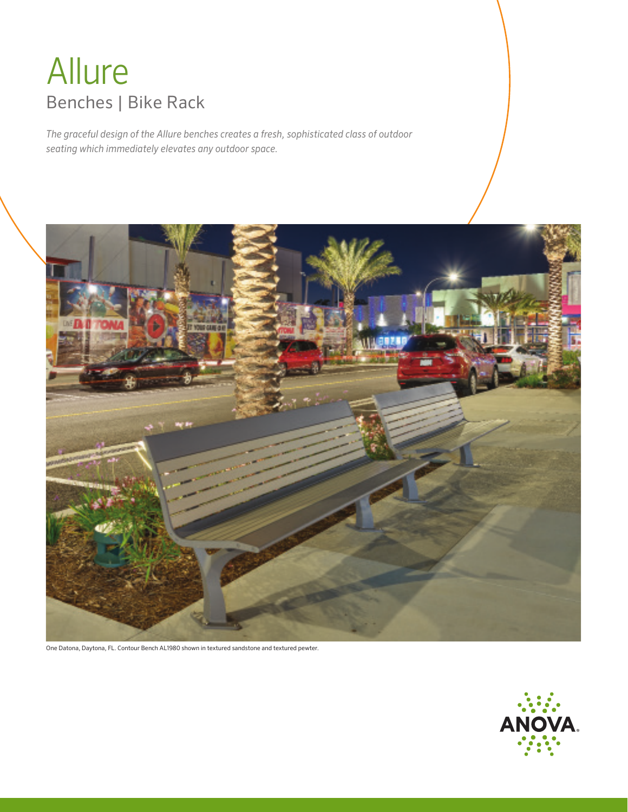# Allure Benches | Bike Rack

*The graceful design of the Allure benches creates a fresh, sophisticated class of outdoor seating which immediately elevates any outdoor space.*



One Datona, Daytona, FL. Contour Bench AL1980 shown in textured sandstone and textured pewter.

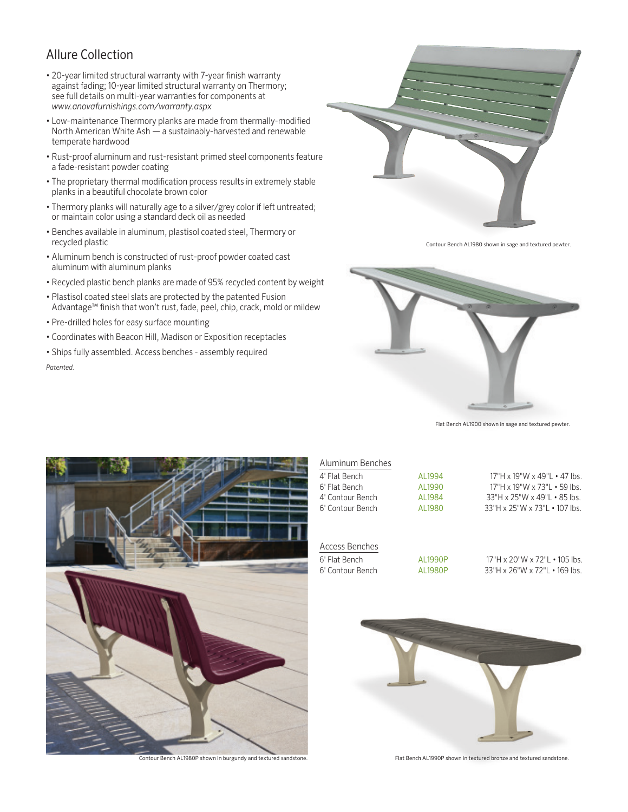## Allure Collection

- 20-year limited structural warranty with 7-year finish warranty against fading; 10-year limited structural warranty on Thermory; see full details on multi-year warranties for components at *www.anovafurnishings.com/warranty.aspx*
- Low-maintenance Thermory planks are made from thermally-modified North American White Ash — a sustainably-harvested and renewable temperate hardwood
- Rust-proof aluminum and rust-resistant primed steel components feature a fade-resistant powder coating
- The proprietary thermal modification process results in extremely stable planks in a beautiful chocolate brown color
- Thermory planks will naturally age to a silver/grey color if left untreated; or maintain color using a standard deck oil as needed
- Benches available in aluminum, plastisol coated steel, Thermory or recycled plastic
- Aluminum bench is constructed of rust-proof powder coated cast aluminum with aluminum planks
- Recycled plastic bench planks are made of 95% recycled content by weight
- Plastisol coated steel slats are protected by the patented Fusion Advantage™ finish that won't rust, fade, peel, chip, crack, mold or mildew
- Pre-drilled holes for easy surface mounting
- Coordinates with Beacon Hill, Madison or Exposition receptacles
- Ships fully assembled. Access benches assembly required *Patented.*



Contour Bench AL1980 shown in sage and textured pewter.



Flat Bench AL1900 shown in sage and textured pewter.



| Aluminum Benches |         |                                                 |
|------------------|---------|-------------------------------------------------|
| 4' Flat Bench    | AL1994  | $17"H \times 19"W \times 49"L \cdot 47$ lbs.    |
| 6' Flat Bench    | AL1990  | $17"H \times 19"W \times 73"L \cdot 59$ lbs.    |
| 4' Contour Bench | AL1984  | $33''H \times 25''W \times 49''L \cdot 85$ lbs. |
| 6' Contour Bench | AI 1980 | $33"$ H x 25"W x 73"L $\cdot$ 107 lbs.          |
|                  |         |                                                 |

## Access Benches

6' Flat Bench AL1990P 17"H x 20"W x 72"L • 105 lbs. 6' Contour Bench AL1980P 33"H x 26"W x 72"L • 169 lbs.



Contour Bench AL1980P shown in burgundy and textured sandstone. Flat Bench AL1990P shown in textured bronze and textured sandstone.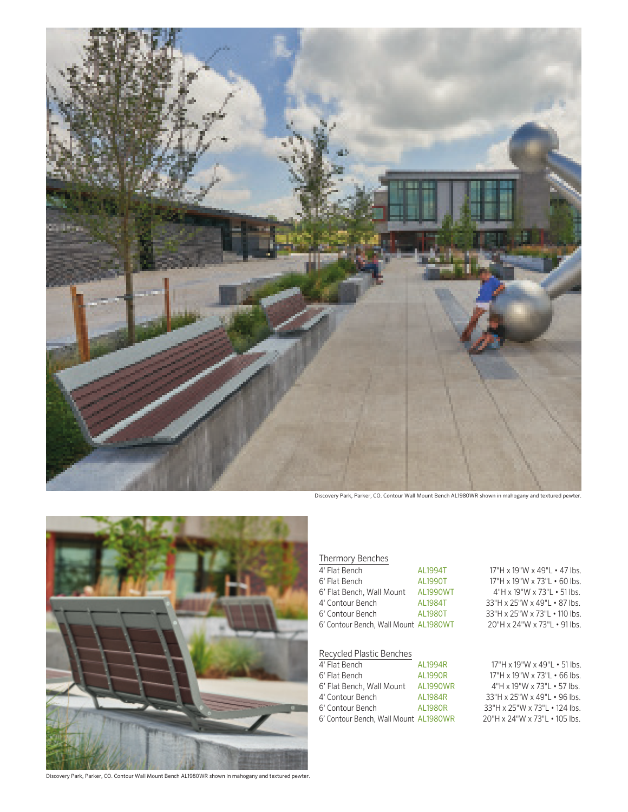

Discovery Park, Parker, CO. Contour Wall Mount Bench AL1980WR shown in mahogany and textured pewter.



Discovery Park, Parker, CO. Contour Wall Mount Bench AL1980WR shown in mahogany and textured pewter.

## Thermory Benches

| 4' Flat Bench                         | AL1994T  |
|---------------------------------------|----------|
| 6' Flat Bench                         | AI 1990T |
| 6' Flat Bench, Wall Mount             | AL1990WT |
| 4' Contour Bench                      | AL1984T  |
| 6' Contour Bench                      | AI 1980T |
| 6' Contour Bench, Wall Mount AL1980WT |          |
|                                       |          |

#### Recycled Plastic Benches

| 4' Flat Bench                         | AI 1994R        |
|---------------------------------------|-----------------|
| 6' Flat Bench                         | <b>AL1990R</b>  |
| 6' Flat Bench, Wall Mount             | <b>AL1990WR</b> |
| 4' Contour Bench                      | AI 1984R        |
| 6' Contour Bench                      | <b>AL1980R</b>  |
| 6' Contour Bench, Wall Mount AL1980WR |                 |

17"H x 19"W x 49"L • 47 lbs. 17"H x 19"W x 73"L • 60 lbs. 4"H x 19"W x 73"L • 51 lbs. 33"H x 25"W x 49"L • 87 lbs. 83"H x 25"W x 73"L • 110 lbs. 20"H x 24"W x 73"L • 91 lbs.

### 17"H x 19"W x 49"L • 51 lbs. 17"H x 19"W x 73"L • 66 lbs. 4"H x 19"W x 73"L • 57 lbs. 33"H x 25"W x 49"L • 96 lbs. 83" H x 25" W x 73" L • 124 lbs.<br>20" H x 24" W x 73" L • 105 lbs.